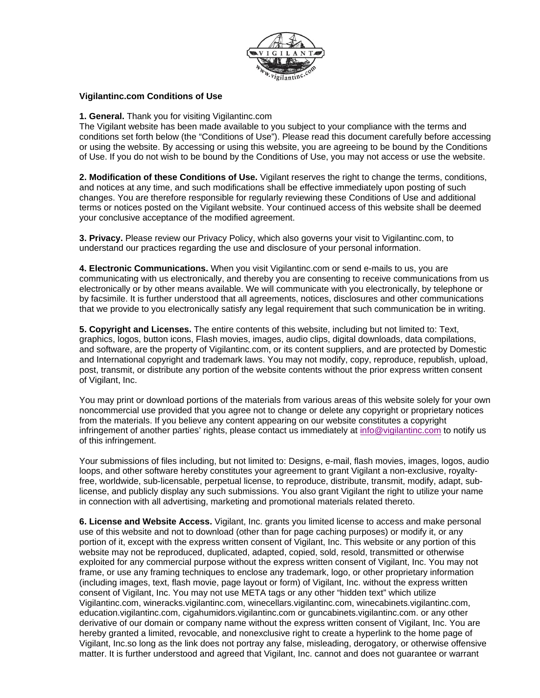

## **Vigilantinc.com Conditions of Use**

**1. General.** Thank you for visiting Vigilantinc.com

The Vigilant website has been made available to you subject to your compliance with the terms and conditions set forth below (the "Conditions of Use"). Please read this document carefully before accessing or using the website. By accessing or using this website, you are agreeing to be bound by the Conditions of Use. If you do not wish to be bound by the Conditions of Use, you may not access or use the website.

**2. Modification of these Conditions of Use.** Vigilant reserves the right to change the terms, conditions, and notices at any time, and such modifications shall be effective immediately upon posting of such changes. You are therefore responsible for regularly reviewing these Conditions of Use and additional terms or notices posted on the Vigilant website. Your continued access of this website shall be deemed your conclusive acceptance of the modified agreement.

**3. Privacy.** Please review our Privacy Policy, which also governs your visit to Vigilantinc.com, to understand our practices regarding the use and disclosure of your personal information.

**4. Electronic Communications.** When you visit Vigilantinc.com or send e-mails to us, you are communicating with us electronically, and thereby you are consenting to receive communications from us electronically or by other means available. We will communicate with you electronically, by telephone or by facsimile. It is further understood that all agreements, notices, disclosures and other communications that we provide to you electronically satisfy any legal requirement that such communication be in writing.

**5. Copyright and Licenses.** The entire contents of this website, including but not limited to: Text, graphics, logos, button icons, Flash movies, images, audio clips, digital downloads, data compilations, and software, are the property of Vigilantinc.com, or its content suppliers, and are protected by Domestic and International copyright and trademark laws. You may not modify, copy, reproduce, republish, upload, post, transmit, or distribute any portion of the website contents without the prior express written consent of Vigilant, Inc.

You may print or download portions of the materials from various areas of this website solely for your own noncommercial use provided that you agree not to change or delete any copyright or proprietary notices from the materials. If you believe any content appearing on our website constitutes a copyright infringement of another parties' rights, please contact us immediately at info@vigilantinc.com to notify us of this infringement.

Your submissions of files including, but not limited to: Designs, e-mail, flash movies, images, logos, audio loops, and other software hereby constitutes your agreement to grant Vigilant a non-exclusive, royaltyfree, worldwide, sub-licensable, perpetual license, to reproduce, distribute, transmit, modify, adapt, sublicense, and publicly display any such submissions. You also grant Vigilant the right to utilize your name in connection with all advertising, marketing and promotional materials related thereto.

**6. License and Website Access.** Vigilant, Inc. grants you limited license to access and make personal use of this website and not to download (other than for page caching purposes) or modify it, or any portion of it, except with the express written consent of Vigilant, Inc. This website or any portion of this website may not be reproduced, duplicated, adapted, copied, sold, resold, transmitted or otherwise exploited for any commercial purpose without the express written consent of Vigilant, Inc. You may not frame, or use any framing techniques to enclose any trademark, logo, or other proprietary information (including images, text, flash movie, page layout or form) of Vigilant, Inc. without the express written consent of Vigilant, Inc. You may not use META tags or any other "hidden text" which utilize Vigilantinc.com, wineracks.vigilantinc.com, winecellars.vigilantinc.com, winecabinets.vigilantinc.com, education.vigilantinc.com, cigahumidors.vigilantinc.com or guncabinets.vigilantinc.com. or any other derivative of our domain or company name without the express written consent of Vigilant, Inc. You are hereby granted a limited, revocable, and nonexclusive right to create a hyperlink to the home page of Vigilant, Inc.so long as the link does not portray any false, misleading, derogatory, or otherwise offensive matter. It is further understood and agreed that Vigilant, Inc. cannot and does not guarantee or warrant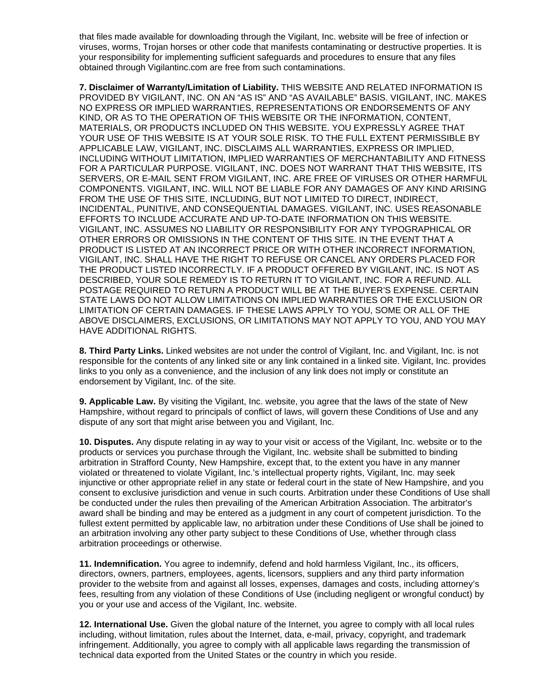that files made available for downloading through the Vigilant, Inc. website will be free of infection or viruses, worms, Trojan horses or other code that manifests contaminating or destructive properties. It is your responsibility for implementing sufficient safeguards and procedures to ensure that any files obtained through Vigilantinc.com are free from such contaminations.

**7. Disclaimer of Warranty/Limitation of Liability.** THIS WEBSITE AND RELATED INFORMATION IS PROVIDED BY VIGILANT, INC. ON AN "AS IS" AND "AS AVAILABLE" BASIS. VIGILANT, INC. MAKES NO EXPRESS OR IMPLIED WARRANTIES, REPRESENTATIONS OR ENDORSEMENTS OF ANY KIND, OR AS TO THE OPERATION OF THIS WEBSITE OR THE INFORMATION, CONTENT, MATERIALS, OR PRODUCTS INCLUDED ON THIS WEBSITE. YOU EXPRESSLY AGREE THAT YOUR USE OF THIS WEBSITE IS AT YOUR SOLE RISK. TO THE FULL EXTENT PERMISSIBLE BY APPLICABLE LAW, VIGILANT, INC. DISCLAIMS ALL WARRANTIES, EXPRESS OR IMPLIED, INCLUDING WITHOUT LIMITATION, IMPLIED WARRANTIES OF MERCHANTABILITY AND FITNESS FOR A PARTICULAR PURPOSE. VIGILANT, INC. DOES NOT WARRANT THAT THIS WEBSITE, ITS SERVERS, OR E-MAIL SENT FROM VIGILANT, INC. ARE FREE OF VIRUSES OR OTHER HARMFUL COMPONENTS. VIGILANT, INC. WILL NOT BE LIABLE FOR ANY DAMAGES OF ANY KIND ARISING FROM THE USE OF THIS SITE, INCLUDING, BUT NOT LIMITED TO DIRECT, INDIRECT, INCIDENTAL, PUNITIVE, AND CONSEQUENTIAL DAMAGES. VIGILANT, INC. USES REASONABLE EFFORTS TO INCLUDE ACCURATE AND UP-TO-DATE INFORMATION ON THIS WEBSITE. VIGILANT, INC. ASSUMES NO LIABILITY OR RESPONSIBILITY FOR ANY TYPOGRAPHICAL OR OTHER ERRORS OR OMISSIONS IN THE CONTENT OF THIS SITE. IN THE EVENT THAT A PRODUCT IS LISTED AT AN INCORRECT PRICE OR WITH OTHER INCORRECT INFORMATION, VIGILANT, INC. SHALL HAVE THE RIGHT TO REFUSE OR CANCEL ANY ORDERS PLACED FOR THE PRODUCT LISTED INCORRECTLY. IF A PRODUCT OFFERED BY VIGILANT, INC. IS NOT AS DESCRIBED, YOUR SOLE REMEDY IS TO RETURN IT TO VIGILANT, INC. FOR A REFUND. ALL POSTAGE REQUIRED TO RETURN A PRODUCT WILL BE AT THE BUYER'S EXPENSE. CERTAIN STATE LAWS DO NOT ALLOW LIMITATIONS ON IMPLIED WARRANTIES OR THE EXCLUSION OR LIMITATION OF CERTAIN DAMAGES. IF THESE LAWS APPLY TO YOU, SOME OR ALL OF THE ABOVE DISCLAIMERS, EXCLUSIONS, OR LIMITATIONS MAY NOT APPLY TO YOU, AND YOU MAY HAVE ADDITIONAL RIGHTS.

**8. Third Party Links.** Linked websites are not under the control of Vigilant, Inc. and Vigilant, Inc. is not responsible for the contents of any linked site or any link contained in a linked site. Vigilant, Inc. provides links to you only as a convenience, and the inclusion of any link does not imply or constitute an endorsement by Vigilant, Inc. of the site.

**9. Applicable Law.** By visiting the Vigilant, Inc. website, you agree that the laws of the state of New Hampshire, without regard to principals of conflict of laws, will govern these Conditions of Use and any dispute of any sort that might arise between you and Vigilant, Inc.

**10. Disputes.** Any dispute relating in ay way to your visit or access of the Vigilant, Inc. website or to the products or services you purchase through the Vigilant, Inc. website shall be submitted to binding arbitration in Strafford County, New Hampshire, except that, to the extent you have in any manner violated or threatened to violate Vigilant, Inc.'s intellectual property rights, Vigilant, Inc. may seek injunctive or other appropriate relief in any state or federal court in the state of New Hampshire, and you consent to exclusive jurisdiction and venue in such courts. Arbitration under these Conditions of Use shall be conducted under the rules then prevailing of the American Arbitration Association. The arbitrator's award shall be binding and may be entered as a judgment in any court of competent jurisdiction. To the fullest extent permitted by applicable law, no arbitration under these Conditions of Use shall be joined to an arbitration involving any other party subject to these Conditions of Use, whether through class arbitration proceedings or otherwise.

**11. Indemnification.** You agree to indemnify, defend and hold harmless Vigilant, Inc., its officers, directors, owners, partners, employees, agents, licensors, suppliers and any third party information provider to the website from and against all losses, expenses, damages and costs, including attorney's fees, resulting from any violation of these Conditions of Use (including negligent or wrongful conduct) by you or your use and access of the Vigilant, Inc. website.

**12. International Use.** Given the global nature of the Internet, you agree to comply with all local rules including, without limitation, rules about the Internet, data, e-mail, privacy, copyright, and trademark infringement. Additionally, you agree to comply with all applicable laws regarding the transmission of technical data exported from the United States or the country in which you reside.